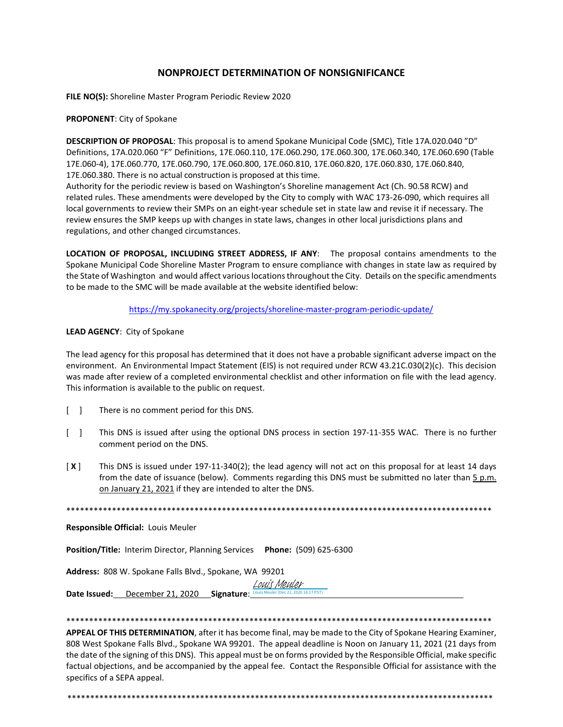### **NONPROJECT DETERMINATION OF NONSIGNIFICANCE**

**FILE NO(S):** Shoreline Master Program Periodic Review 2020

#### **PROPONENT**: City of Spokane

**DESCRIPTION OF PROPOSAL**: This proposal is to amend Spokane Municipal Code (SMC), Title 17A.020.040 "D" Definitions, 17A.020.060 "F" Definitions, 17E.060.110, 17E.060.290, 17E.060.300, 17E.060.340, 17E.060.690 (Table 17E.060-4), 17E.060.770, 17E.060.790, 17E.060.800, 17E.060.810, 17E.060.820, 17E.060.830, 17E.060.840, 17E.060.380. There is no actual construction is proposed at this time.

Authority for the periodic review is based on Washington's Shoreline management Act (Ch. 90.58 RCW) and related rules. These amendments were developed by the City to comply with WAC 173-26-090, which requires all local governments to review their SMPs on an eight-year schedule set in state law and revise it if necessary. The review ensures the SMP keeps up with changes in state laws, changes in other local jurisdictions plans and regulations, and other changed circumstances.

**LOCATION OF PROPOSAL, INCLUDING STREET ADDRESS, IF ANY**: The proposal contains amendments to the Spokane Municipal Code Shoreline Master Program to ensure compliance with changes in state law as required by the State of Washington and would affect various locations throughout the City. Details on the specific amendments to be made to the SMC will be made available at the website identified below:

<https://my.spokanecity.org/projects/shoreline-master-program-periodic-update/>

#### **LEAD AGENCY**: City of Spokane

The lead agency for this proposal has determined that it does not have a probable significant adverse impact on the environment. An Environmental Impact Statement (EIS) is not required under RCW 43.21C.030(2)(c). This decision was made after review of a completed environmental checklist and other information on file with the lead agency. This information is available to the public on request.

- [ ] There is no comment period for this DNS.
- [ ] This DNS is issued after using the optional DNS process in section 197-11-355 WAC. There is no further comment period on the DNS.
- [ **X** ] This DNS is issued under 197-11-340(2); the lead agency will not act on this proposal for at least 14 days from the date of issuance (below). Comments regarding this DNS must be submitted no later than 5 p.m. on January 21, 2021 if they are intended to alter the DNS.

\*\*\*\*\*\*\*\*\*\*\*\*\*\*\*\*\*\*\*\*\*\*\*\*\*\*\*\*\*\*\*\*\*\*\*\*\*\*\*\*\*\*\*\*\*\*\*\*\*\*\*\*\*\*\*\*\*\*\*\*\*\*\*\*\*\*\*\*\*\*\*\*\*\*\*\*\*\*\*\*\*\*\*\*\*\*\*\*\*\*\*\*\*

**Responsible Official:** Louis Meuler

**Position/Title:** Interim Director, Planning Services **Phone:** (509) 625-6300

**Address:** 808 W. Spokane Falls Blvd., Spokane, WA 99201

**Date Issued:** December 21, 2020 **Signature**: Louis Meuler (Dec 21, 2020 16:17 PST) [Louis Meuler](https://na2.documents.adobe.com/verifier?tx=CBJCHBCAABAA1VIW9Gs8khE05HDqA4t6igfVKR_0Tia5)

#### \*\*\*\*\*\*\*\*\*\*\*\*\*\*\*\*\*\*\*\*\*\*\*\*\*\*\*\*\*\*\*\*\*\*\*\*\*\*\*\*\*\*\*\*\*\*\*\*\*\*\*\*\*\*\*\*\*\*\*\*\*\*\*\*\*\*\*\*\*\*\*\*\*\*\*\*\*\*\*\*\*\*\*\*\*\*\*\*\*\*\*\*\*

**APPEAL OF THIS DETERMINATION**, after it has become final, may be made to the City of Spokane Hearing Examiner, 808 West Spokane Falls Blvd., Spokane WA 99201. The appeal deadline is Noon on January 11, 2021 (21 days from the date of the signing of this DNS). This appeal must be on forms provided by the Responsible Official, make specific factual objections, and be accompanied by the appeal fee. Contact the Responsible Official for assistance with the specifics of a SEPA appeal.

\*\*\*\*\*\*\*\*\*\*\*\*\*\*\*\*\*\*\*\*\*\*\*\*\*\*\*\*\*\*\*\*\*\*\*\*\*\*\*\*\*\*\*\*\*\*\*\*\*\*\*\*\*\*\*\*\*\*\*\*\*\*\*\*\*\*\*\*\*\*\*\*\*\*\*\*\*\*\*\*\*\*\*\*\*\*\*\*\*\*\*\*\*